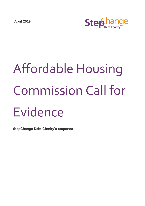**April 2019**



# Affordable Housing Commission Call for Evidence

**StepChange Debt Charity's response**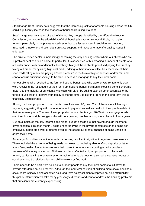# Summary

StepChange Debt Charity data suggests that the increasing lack of affordable housing across the UK could significantly increase the chances of households falling into debt.

StepChange sees examples of each of the four key groups identified by the Affordable Housing Commission, for whom the affordability of their housing is causing serious difficulty: struggling renters, particularly in the private rented sector but to a lesser extent in social rented housing; frustrated homeowners; those reliant on state support; and those who face affordability issues in older age.

The private rented sector is increasingly becoming the only housing sector where our clients who are in problem debt can find a home. In particular, it is associated with increasing numbers of clients who are older and/or with an additional vulnerability. Many of these clients prioritised paying their rent by taking out credit, many using high cost credit, adding to their financial difficulties. Because of their poor credit rating many are paying a "debt premium" in the form of higher deposits and/or rent and cannot accrue sufficient savings to be able to access a mortgage to buy their own home.

For our clients who received some form of housing benefit and who were private renters only 10% were receiving the full amount of their rent from housing benefit payments. Housing benefit shortfalls mean that the majority of our clients who claim will either be cutting back on other essentials or be forced to use credit or borrow from family or friends simply to pay their rent. In the long-term this is financially unsustainable.

Although a lower proportion of our clients overall are over 60, over 60% of these are still having to pay rent, suggesting they will continue to have to pay rent, as well as deal with their problem debt, in their retirement years. The even lower proportion of our clients aged 40-59 with a mortgage or who own their home outright, suggests this will be a growing problem amongst our clients in future years.

Our data indicates that low incomes and higher budget deficits (i.e. not having enough income to cover essential bills each month), being under 40, living in the private rented sector and being selfemployed, in part-time work or unemployed all increased our clients' chances of being unable to afford their home.

For many of our clients a lack of affordable housing resulted in significant negative consequences. These included the extreme of being made homeless, to not being able to afford deposits or letting agent fees, feeling forced to move from their current home or simply putting up with problems because of the worry of eviction. All these problems affected a higher proportion of clients who rented, particularly in the private sector. A lack of affordable housing also had a negative impact on our clients' health, relationships and ability to work or find work.

There needs to be a shift from policies to support people to buy their own homes to initiatives to provide affordable housing for rent. Although the long-term solution of building more social housing at social rents is finally being accepted as a long-term policy solution to improve housing affordability, this policy intervention will take many years to yield results and cannot address the housing problems that our clients are currently experiencing.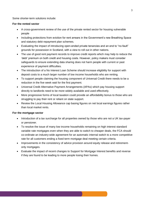Some shorter-term solutions include:

#### **For the rented sector**

- A cross-government review of the use of the private rented sector for housing vulnerable people
- Including protections from eviction for rent arrears in the Government's new Breathing Space and statutory debt repayment plan schemes.
- Evaluating the impact of introducing open-ended private tenancies and an end to "no-fault" grounds for possession in Scotland, with a view to roll out in other nations.
- The use of good rent payment records to improve credit reports which may help to reduce the 'debt' premium on both credit and housing costs. However, policy makers must consider safeguards to ensure extending data sharing does not harm people with current or past experience of payment difficulties.
- The introduction of a No Interest Loan Scheme should increase eligibility for support with deposit costs to a much larger number of low income households who are renting.
- To support people claiming the housing component of Universal Credit there needs to be a reduction in the five week wait for the first payment.
- Universal Credit Alternative Payment Arrangements (APAs) which pay housing support directly to landlords need to be more widely available and used effectively.
- More progressive forms of local taxation could provide an affordability bonus to those who are struggling to pay their rent or reliant on state support.
- Review the Local Housing Allowance cap basing figures on net local earnings figures rather than local market rents.

#### **For the mortgage sector**

- Introduction of a tax surcharge for all properties owned by those who are not a UK tax-payer or pensioner.
- To resolve the issue of many low income households remaining on high interest standard variable rate mortgages even when they are able to switch to cheaper deals, the FCA should co-ordinate an industry-wide agreement for an automatic internal switch to a more competitive rate for all customers ending a fixed term mortgage deal meeting certain criteria.
- Improvements in the consistency of advice provision around equity release and retirementonly mortgages.
- Evaluate the impact of recent changes to Support for Mortgage Interest benefits and reverse if they are found to be leading to more people losing their homes.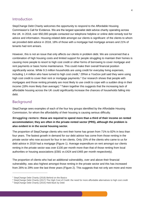# Introduction

StepChange Debt Charity welcomes the opportunity to respond to the Affordable Housing Commission's Call for Evidence. We are the largest specialist debt advice charity operating across the UK. In 2018, over 650,000 people contacted our telephone helpline or online debt remedy tool for advice and information. Housing-related debt amongst our clients is significant: of the clients to whom we provided debt advice in 2018, 18% of those with a mortgage had mortgage arrears and 21% of tenants had rent arrears.

However, this is not an issue that only affects our clients in problem debt. We are concerned that a combination of high housing costs and limited support for people struggling to maintain their homes is causing more people to resort to high cost credit or other forms of borrowing to cover mortgage and rent payments or basic home maintenance. This could make their overall financial position significantly worse. While 9.3 million households are using credit for everyday living expenses, including 1.4 million who have turned to high cost credit,<sup>1</sup> 29%in a YouGov poll said they were using high cost credit to cover their rent or mortgage payments.<sup>2</sup> Our research shows that people with mortgages and those renting privately are most likely to use credit to cope with a sudden drop in their income (18% more likely than average). $3$  Taken together this suggests that the increasing lack of affordable housing across the UK could significantly increase the chances of households falling into debt.

# Background

 $\overline{a}$ 

StepChange sees examples of each of the four key groups identified by the Affordable Housing Commission, for whom the affordability of their housing is causing serious difficulty.

# *Struggling renters***: these are required to spend more than a third of their income on rented accommodation; they are often in the private rented sector (PRS), although the problem is also evident in in the social housing sector.**

The proportion of StepChange clients who rent their home has grown from 71% to 82% in less than four years. The fastest growth in demand for our debt advice has come from those renting in the private sector who now account for four in ten clients. Only 15% of the clients who came to us for debt advice in 2018 had a mortgage (Figure 1). Average expenditure on rent amongst our clients renting in the private sector was over £100 per month more than that of those renting from local authorities or housing associations (£581 vs £424 and £465 per month respectively).

The proportion of clients who had an additional vulnerability, over and above their financial vulnerability, was also highest amongst those renting in the private sector and this has increased from 26% to 29% over the last three years (Figure 2). This suggests that not only are more and more

<sup>&</sup>lt;sup>1</sup> StepChange Debt Charity (2018) Behind on the Basics

<sup>&</sup>lt;sup>2</sup> StepChange Debt Charity (2017) The High Cost of Credit: the need for more affordable alternatives to high cost credit

<sup>3</sup> StepChange Debt Charity (2015) Held Back by Debt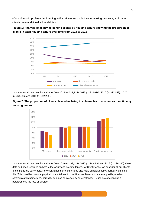of our clients in problem debt renting in the private sector, but an increasing percentage of these clients have additional vulnerabilities.





Data was on all new telephone clients from 2014 (n=321,134), 2015 (n=314,676), 2016 (n=320,059), 2017 (n=264,856) and 2018 (n=252,269).





Data was on all new telephone clients from 2016 (n = 92,433), 2017 (n=143,449) and 2018 (n=129,165) where data had been recorded on both vulnerability and housing tenure. At StepChange, we consider all our clients to be financially vulnerable. However, a number of our clients also have an additional vulnerability on top of this. This could be due to a physical or mental health condition, low literacy or numeracy skills, or other communication barriers. Vulnerability can also be caused by circumstances – such as experiencing a bereavement, job loss or divorce.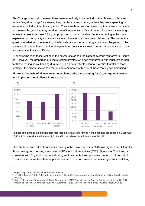StepChange clients with vulnerabilities were more likely to be behind on their household bills and to have a "negative budget" – meaning they had less money coming in than they were spending on essentials, including their housing costs. They were less likely to be working than clients who were not vulnerable, yet when they received benefit income two in five of them still did not have enough money to make ends meet.<sup>4</sup> A higher proportion of our vulnerable clients are renting in the more expensive, poorer quality and more insecure private sector<sup>5</sup> than the social sector. This raises the question of whether private renting, traditionally a short-term housing solution for the young, is the place we should be housing vulnerable people on consistently low incomes, particularly when they are already in financial difficulty.

Of clients who rent, those renting in the private sector had the highest average rent arrears (Figure 3a). However, the proportion of clients renting privately who had rent arrears was much lower than for those renting social housing (Figure 3b). This data reflects national statistics that 9% of those renting in the private sector had rent arrears compared with 25% of those renting social housing.<sup>6</sup>







Number of telephone clients with data recorded on rent arrears renting from a housing association in 2018 was 20,279, from a local authority was 21,819 and in the private rented sector was 38,382.

The rent-to-income ratio of our clients renting in the private sector in 2018 was higher at 45% than for those renting from housing associations (39%) or local authorities (37%) (Figure 4a). This trend is consistent with England-wide data showing rent payments took up a lower proportion of household income for social renters than for private renters.<sup>7</sup> It demonstrates how on average rents are taking

<sup>4</sup> StepChange Debt Charity (2018) Breaking the Link

<sup>5</sup> Hick, R. & Lanau, A. (2017) In-work poverty in the UK: problem, policy analysis and platform for action. Cardiff: Cardiff University.

<sup>6</sup> Ministry of Housing, Communities & Local Government (2018) English Housing Survey: Social rented sector 2016-17

<sup>7</sup> Ministry of Housing, Communities & Local Government (2019) English Housing Survey Headline report 2017-18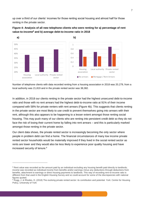up over a third of our clients' incomes for those renting social housing and almost half for those renting in the private sector.





Number of telephone clients with data recorded renting from a housing association in 2018 was 20,279, from a local authority was 21,819 and in the private rented sector was 38,382.

In addition, in 2018 our clients renting in the private sector had the highest unsecured debt-to-income ratio and those with no rent arrears had the highest debt-to-income ratio at 91% of their income compared with 58% for private renters with rent arrears (Figure 4b). This suggests that clients renting in the private sector are most likely to use credit to prevent themselves going into arrears with their rent, although this also appears to be happening to a lesser extent amongst those renting social housing. This may push many of our clients who are renting into persistent credit debt so they do not face the risk of losing their current home by falling into rent arrears – and this is particularly marked amongst those renting in the private sector.

Our client data shows, the private rented sector is increasingly becoming the only sector where people in problem debt can find a home. The financial circumstances of many low income private rented sector households would be materially improved if they lived in the social rented sector as rents are lower and they would also be less likely to experience poor quality housing and have increased security of tenure. 9

<sup>&</sup>lt;sup>8</sup> Rent value was recorded as the amount paid by an individual excluding any housing benefit paid directly to landlords; income was recorded as individual income from benefits and/or earnings minus any deductions through deductions from benefits, attachment to earnings or direct housing payments to landlords. This way of recording rent-to-income ratio is different from that used in the English Housing Survey and so could account for some of the discrepancies with national figures quoted.

<sup>&</sup>lt;sup>9</sup> Rugg, J. & Rhodes, D. (2018) The evolving private rented sector: its contribution and potential. York: Centre for Housing Policy, University of York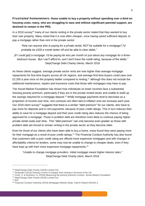*Frustrated homeowners***: those unable to buy a property without spending over a third on housing costs; many, who are struggling to save and without significant parental support, are destined to remain in the PRS.** 

In a 2018 survey<sup>10</sup> many of our clients renting in the private sector stated that they wanted to buy their own property. Many noted that it is now often cheaper, once having saved sufficient deposit, to pay a mortgage rather than rent in the private sector:

*"How can anyone who is paying for a private rental, NOT be suitable for a mortgage? I'd probably be £200 a month better off and be able to clear debts."*

*[If I could get] a mortgage. I'd be paying far less per month on just about any mortgage for a threebedroom house. But I can't afford to, and I don't have the credit rating, because of the debts."* StepChange Debt Charity clients, March 2018

As these clients suggest, average private sector rents are now higher than average mortgage repayments for first-time buyers across all UK regions, and average first-time buyers could save over £2,250 a year once on the property ladder compared to renting,<sup>11</sup> although this does not include the additional maintenance, repairs and insurance costs that those with mortgages may have to pay.

The Social Market Foundation has shown how individuals on lower incomes face a substantial housing poverty premium, particularly if they are in the private rented sector and unable to build up the savings required for a mortgage deposit.<sup>12</sup> While mortgage payments tend to decrease as a proportion of income over time, rent contracts are often tied to inflation and can increase each year. Our 2018 client survey<sup>13</sup> suggests that there is a similar "debt premium" for our clients, who have to pay more for deposits and in rent payments, because of poor credit ratings. This in turn reduces their ability to save for a mortgage deposit and their poor credit rating also reduces the chance of being approved for a mortgage. Those in problem debt are therefore more likely to continue paying higher private rental costs over time. This "debt premium" can only become even greater as those with problem debt are forced to remain renting in the private sector as they become older.

Even for those of our clients who have been able to buy a home, many found they were paying more for their mortgage as a result of poor credit ratings.<sup>14</sup> The Financial Conduct Authority has also found that customers with a poor credit rating are offered more expensive mortgages and with changes in affordability criteria for lenders, some may now be unable to change to cheaper deals, even if they have kept up with their more expensive mortgage repayments.<sup>15</sup>

"*Unable to change mortgage providers. Initial mortgage meant higher interest rates*." StepChange Debt Charity client, March 2018

<sup>10</sup> StepChange Debt Charity (2018) Locked Out

<sup>&</sup>lt;sup>11</sup> Santander (2018) Owning a home is cheaper than renting in all areas of the UK

<sup>12</sup> Corfe, S. & Keohane, N. (2018) Measuring the poverty premium London: Social Market Foundation

<sup>13</sup> StepChange Debt Charity (2018) Locked Out

<sup>14</sup> *ibid*

<sup>15</sup> Financial Conduct Authority (2018) Mortgages Market Study: Interim Report MS16/2.2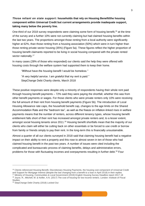# *Those reliant on state support***: households that rely on Housing Benefit/the housing component within Universal Credit but current arrangements provide inadequate support, taking many below the poverty line.**

One-third of our 2018 survey respondents were claiming some form of housing benefit,<sup>16</sup> at the time of the survey and a further 10% were not currently claiming but had claimed housing benefits within the last two years. The proportions amongst those renting from a local authority were significantly higher at 62%, than those renting from a housing association (50%) which were in turn higher than those renting private sector housing (35%) (Figure 5a). These figures reflect the higher proportion of housing benefit claimants reported to be living in social housing compared with the private rented sector nationally.<sup>17</sup>

In many cases (28% of those who responded) our clients said the help they were offered with housing costs through the welfare system had supported them to keep their home.

*"Without have the housing benefit I would be homeless." "A very helpful service. I am grateful that my rent is paid."*

StepChange Debt Charity clients, March 2018

These positive responses were despite only a minority of respondents having their whole rent paid through housing benefit payments – 72% said they were paying the shortfall, whether this was from other benefit payments or wages. For those clients who were private renters only 10% were receiving the full amount of their rent from housing benefit payments (Figure 5b). The introduction of Local Housing Allowance rate caps, the household benefit cap, changes to the age limits on the Shared Accommodation Rate and the "bedroom tax", as well as the freeze on inflation-linked rises in welfare payments means that the number of renters, across different tenancy types, whose housing benefit entitlement falls short of their rent has increased amongst private renters and, to a lesser extent, amongst social housing tenants since 2011.<sup>18</sup> Housing benefit shortfalls mean that the majority of our clients who claim will either be cutting back on other essentials or be forced to use credit or borrow from family or friends simply to pay their rent. In the long-term this is financially unsustainable.

Almost a quarter of all our clients surveyed in 2018 said that claiming housing benefit had a negative impact on their ability to rent a property and this rose to almost seven in ten of those who had claimed housing benefit in the past two years. A number of issues were cited including the complicated and bureaucratic process of claiming benefits, delays and administrative errors, problems for those with fluctuating incomes and overpayments resulting in further debt.<sup>19</sup> Four

<sup>&</sup>lt;sup>16</sup> Clients referenced Housing Benefit, Discretionary Housing Payments, the housing cost component of Universal Credit and Support for Mortgage Interest (despite the last changing from a benefit to a loan in April 2018) in their replies.

<sup>17</sup> Ministry of Housing, Communities & Local Government (2019) English Housing Survey Headline report 2017-18 <sup>18</sup> Joyce, R., Mitchell, M. & Keiller, A.N. (2017) The cost of housing for low income renters. London: Institute of Fiscal

**Studies** 

<sup>19</sup> StepChange Debt Charity (2018) Locked Out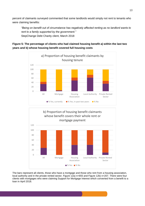percent of claimants surveyed commented that some landlords would simply not rent to tenants who were claiming benefits:

*"Being on benefit out of circumstance has negatively affected renting as no landlord wants to rent to a family supported by the government."* StepChange Debt Charity client, March 2018







The bars represent all clients, those who have a mortgage and those who rent from a housing association, local authority and in the private rented sector. Figure 12a) n=655 and Figure 12b) n=207. There were four clients with mortgages who were claiming Support for Mortgage Interest which converted from a benefit to a loan in April 2018.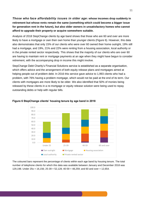*Those who face affordability issues in older age***: whose incomes drop suddenly in retirement but whose rents remain the same (something which could become a bigger issue for generation rent in the future), but also older owners in unsatisfactory homes who cannot afford to upgrade their property or acquire somewhere suitable.**

Analysis of 2018 StepChange clients by age band shows that those who are 60 and over are more likely to have a mortgage or own their own home than younger clients (Figure 6). However, this data also demonstrates that only 15% of our clients who were over 60 owned their home outright, 19% still had a mortgage, and 19%, 21% and 22% were renting from a housing association, local authority or in the private rented sector respectively. This shows that the majority of our clients who are over 60 are having to maintain rent or mortgage payments at an age when they might have begun to consider retirement, with the accompanying drop in income this might involve.

StepChange Debt Charity's Financial Solutions service is established as a separate organisation, which offers advice and the arrangement of both equity release plans and mortgages aimed at helping people out of problem debt. In 2016 this service gave advice to 1,993 clients who had a problem, with 76% having a problem mortgage, which would not be paid at the end of its term. Our clients with mortgages are more likely to be older. We also identified that 50% of monies being released by these clients in a re-mortgage or equity release solution were being used to repay outstanding debts or help with regular bills.



**Figure 6 StepChange clients' housing tenure by age band in 2018**

The coloured bars represent the percentage of clients within each age band by housing tenure. The total number of telephone clients for which this data was available between January and December 2018 was 129,198. Under 25s = 16,156; 25-39 = 52,128; 40-59 = 48,259; and 60 and over = 12,654.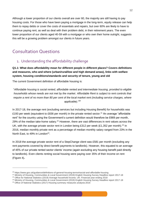Although a lower proportion of our clients overall are over 60, the majority are still having to pay housing costs. For those who have been paying a mortgage in the long-term, equity release can help them to repay debts or cover the costs of essentials and repairs, but over 60% are likely to have to continue paying rent, as well as deal with their problem debt, in their retirement years. The even lower proportion of our clients aged 40-59 with a mortgage or who own their home outright, suggests this will be a growing problem amongst our clients in future years.

# Consultation Questions

# 1. Understanding the affordability challenge

**Q1.1: What does affordability mean for different people in different places? Covers definitions and measures, who and where (urban/rural/low and high demand areas), links with welfare system, housing conditions/standards and security of tenure, young and old**

The current Government definition of affordable housing is:

"*Affordable housing is social rented, affordable rented and intermediate housing, provided to eligible households whose needs are not met by the market. Affordable Rent is subject to rent controls that*  require a rent of no more than 80 per cent of the local market rent (including service charges, where *applicable)."<sup>20</sup>*

.

In 2017-18, the average rent (excluding services but including Housing Benefit) for households was £193 per week (equivalent to £836 per month) in the private rented sector.<sup>21</sup> An average "affordable rent" for the country using the Government's current definition would therefore be £669 per month, 29% of the median take-home salary.<sup>22</sup> However, there are vast differences in rent values across the UK, with the average private sector rent in London being £312 per week (£1,352 per month).<sup>23</sup> In 2016, median monthly private rent as a percentage of median monthly salary ranged from 23% in the North East, to 49% in London<sup>24</sup>.

In 2018 the average private sector rent of a StepChange client was £581 per month (excluding any rent payments covered by direct benefit payments to landlords). However, this equated to an average of 45% of our private rented sector clients' income (again excluding any housing benefit paid directly to landlords). Even clients renting social housing were paying over 35% of their income on rent (Figure 4)**.**

<sup>20</sup> https://www.gov.uk/guidance/definitions-of-general-housing-terms#social-and-affordable-housing

<sup>21</sup> Ministry of Housing, Communities & Local Government (2019) English Housing Survey Headline report 2017-18

<sup>22</sup> Office for National Statistics (2019) Average household income, UK: Financial year ending 2018

<sup>&</sup>lt;sup>23</sup> Ministry of Housing, Communities & Local Government (2019) English Housing Survey Headline report 2017-18

<sup>&</sup>lt;sup>24</sup> Office of National Statistics (2017) Housing summary measures analysis: 2016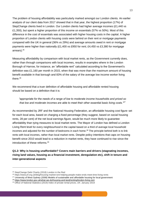The problem of housing affordability was particularly marked amongst our London clients. An earlier analysis of our client data from 2017 showed that in that year, the highest proportion (17%) of StepChange clients lived in London. Our London clients had higher average incomes (£1,440 vs £1,350), but spent a higher proportion of this income on essentials (57% vs 50%). Most of this difference in the cost of essentials was associated with higher housing costs in the capital. A higher proportion of London clients with housing costs were behind on their rent or mortgage payments compared with the UK in general (36% vs 29%) and average amounts owed in rent or mortgage payments were higher than nationally (£1,400 vs £950 for rent; £4,450 vs £3,380 for mortgage arrears).<sup>25</sup>

Measuring affordability by comparison with local market rents, as the Government currently does, rather than through comparisons with local incomes, results in examples where in the London Borough of Harrow, for instance, an "affordable rent" calculated according to the Government's definition was £1,160 per month in 2015, when that was more than the maximum amount of housing benefit available in that borough and 83% of the salary of the average low income worker living there.<sup>26</sup>

We recommend that a truer definition of affordable housing and affordable rented housing should be based on a definition that it is:

# *"appropriate for the needs of a range of low to moderate income households and priced so that low and moderate incomes are able to meet their other essential basic living costs."<sup>27</sup>*

As recommended by JRF and the National Housing Federation, an affordable housing cost figure set for each local area, based on charging a fixed percentage (they suggest, based on social housing rents, 28 per cent) of the net local earnings figure, would be much more likely to guarantee affordability than tying measures to local market rents. The Mayor of London has defined a London Living Rent level for every neighbourhood in the capital based on a third of average local household incomes and adjusted for the number of bedrooms in each home.<sup>28</sup> The principle behind both is to link rents with local incomes, rather than local market rents. Despite policy intentions that caps on housing benefit since 2010 would lead to a reduction in market rents, they have continued to rise since the introduction of these reforms.<sup>29</sup>

**Q1.2: Why is housing unaffordable? Covers main barriers and drivers (stagnating incomes, rising land values, housing as a financial investment, deregulation etc), shift in tenure and inter-generational aspects**

<sup>&</sup>lt;sup>25</sup> StepChange Debt Charity (2018) London in the Red

<sup>26</sup> https://www.jrf.org.uk/blog/housing-market-isnt-helping-people-make-ends-meet-time-living-rents

<sup>&</sup>lt;sup>27</sup> University of West Sydney (2008) Models of sustainable and affordable housing for local government

<sup>28</sup> <https://www.london.gov.uk/what-we-do/housing-and-land/renting/london-living-rent>

<sup>29</sup> Office of National Statistics (2019) Index of private rental prices, UK: January 2019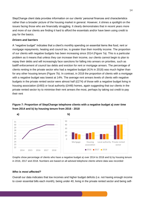StepChange client data provides information on our clients' personal finances and characteristics rather than a broader picture of the housing market in general. However, it shines a spotlight on the issues facing those who are financially struggling. It clearly demonstrates that in recent years more and more of our clients are finding it hard to afford the essentials and/or have been using credit to pay for the basics.

#### *Drivers and barriers*

A "negative budget" indicates that a client's monthly spending on essential items like food, rent or mortgage repayments, heating and council tax, is greater than their monthly income. The proportion of our clients with negative budgets has been increasing since 2014 (Figure 7a). This is a particular problem as it means that unless they can increase their income, our clients cannot begin to plan to repay their debts and will increasingly face sanctions for falling into arrears on priorities, such as bailiff enforcement of council tax debts and eviction for rent or mortgage arrears. The percentage of clients renting in the private sector who had a negative budget (41% in 2018) was much higher than for any other housing tenure (Figure 7b). In contrast, in 2018 the proportion of clients with a mortgage with a negative budget was lowest at 14%. The average rent arrears levels of clients with negative budgets in the private rented sector were almost half (£274) of those with a negative budget living in housing association (£493) or local authority (£448) homes, again suggesting that our clients in the private rented sector try to minimise their rent arrears the most, perhaps by taking out credit to pay their rent

# **Figure 7: Proportion of StepChange telephone clients with a negative budget a) over time from 2014 and b) by housing tenure from 2016 - 2018**



Graphs show percentage of clients who have a negative budget a) over 2014 to 2018 and b) by housing tenure in 2016, 2017 and 2018. Numbers are based on all advised telephone clients where data was recorded

#### *Who is most affected?*

Overall our data indicates that low incomes and higher budget deficits (i.e. not having enough income to cover essential bills each month), being under 40, living in the private rented sector and being self-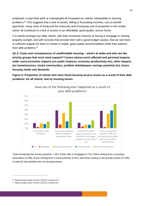employed, in part-time work or unemployed all increased our clients' vulnerability to housing problems.<sup>30</sup> This suggests that a lack of assets, falling or fluctuating incomes, cuts to benefit payments, rising costs of living and the insecurity and increasing cost of properties in the rented sector all contribute to a lack of access to an affordable, good quality, secure home.

It is mainly amongst our older clients, with their increased chances of having a mortgage or owning property outright, and with incomes that provide them with a good budget surplus, that we see there is sufficient support for them to remain in stable, good quality accommodation while they address their debt problems.<sup>31</sup>

**Q1.3: Costs and consequences of unaffordable housing – what's at stake and who are the priority groups that most need support? Covers whose worst affected and personal impacts, wider socio-economic impacts (on public finances, economy /productivity etc), other impacts (on homelessness, mixed communities, problem debt/dampen savings potential etc), future housing needs and demands** 

**Figure 8: Proportion of clients who have faced housing access issues as a result of their debt problems, for all clients, and by housing tenure**



Total answering this survey question =  $354$ : those with a mortgage ( $n=73$ ); those renting from a housing association (n=66); those renting from a local authority (n=67) and those renting in the private sector (n=146). In total 62 had another form of housing tenure

<sup>&</sup>lt;sup>30</sup> StepChange Debt Charity (2018) Locked Out

<sup>&</sup>lt;sup>31</sup> StepChange Debt Charity (2018) Locked Out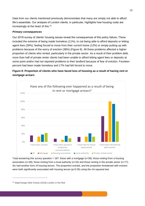Data from our clients mentioned previously demonstrates that many are simply not able to afford life's essentials. Our analysis of London clients, in particular, highlights how housing costs are increasingly at the heart of this.<sup>32</sup>.

#### *Primary consequences*

Our 2018 survey of clients' housing issues reveal the consequences of this policy failure**.** These included the extreme of being made homeless (11%), to not being able to afford deposits or letting agent fees (39%), feeling forced to move from their current home (12%) or simply putting up with problems because of the worry of eviction (38%) (Figure 8). All these problems affected a higher proportion of clients who rented, particularly in the private sector. As a result of their problem debt, more than half of private renter clients had been unable to afford letting agent fees or deposits at some point and/or had not reported problems to their landlord because of fear of eviction. Fourteen percent had been made homeless and 17% had felt forced to move.

# **Figure 9: Proportion of clients who have faced loss of housing as a result of having rent or mortgage arrears**



Total answering this survey question =  $187$ : those with a mortgage ( $n=38$ ); those renting from a housing association (n=38); those renting from a local authority (n=33) and those renting in the private sector (n=77). Six had another form of housing tenure. The proportion evicted, and the proportion threatened with eviction were both significantly associated with housing tenure (p<0.05) using the chi-squared test.

<sup>&</sup>lt;sup>32</sup> StepChange Debt Charity (2018) London in the Red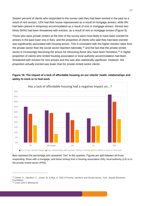Sixteen percent of clients who responded to the survey said they had been evicted in the past as a result of rent arrears, 12% had their house repossessed as a result of mortgage arrears, while 8% had been placed in temporary accommodation as a result of rent or mortgage arrears. Almost twothirds (64%) had been threatened with eviction, as a result of rent or mortgage arrears (Figure 9).

Those who were private renters at the time of the survey were most likely to have been evicted for arrears in the past (over one in five), and the proportion of clients who said they had been evicted was significantly associated with housing tenure. This is consistent with the higher eviction rates from the private sector than the social sector reported nationally,  $33$  and the fact that the private rented sector is increasingly becoming the tenure for rehousing those who have been homeless.<sup>34</sup> A higher proportion of clients who rented housing association or local authority accommodation had been threatened with eviction for rent arrears and this was also statistically significant. However, the proportion actually evicted was lower than for private rented sector clients.

## **Figure 10: The impact of a lack of affordable housing on our clients' heath, relationships and ability to work or to find work**



Bars represent the percentage who answered "Yes" to this question. Figures are split between all those responding; those with a mortgage; and those renting from a housing association (HA), local authority (LA) or in the private rented sector (PRS).

<sup>33</sup> Clarke, A., Hamilton, C., Jones, M. & Muir, K. (2017) Poverty, evictions and forced moves. York: Joseph Rowntree Foundation

<sup>34</sup> Crisis (2017) Moving On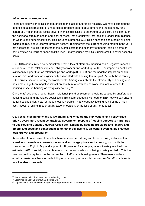#### *Wider social consequences*

There are also wider social consequences to the lack of affordable housing. We have estimated the potential total external cost of unaddressed problem debt to government and the economy for a cohort of 3 million people facing severe financial difficulties to be around £8.3 billion. This is through the additional strain on health and local services, lost productivity, lost jobs and longer-term reliance on welfare and support services. This includes a potential £2.8 billion cost of losing a home or being evicted as result of unresolved problem debt.<sup>35</sup> Problems with the current housing market in the UK, if not addressed, are likely to increase the overall costs to the economy of people losing a home or being evicted as result of financial difficulties – many caused by initially using credit to cover essential costs.

Our 2018 client survey also demonstrated that a lack of affordable housing had a negative impact on our clients' health, relationships and ability to work or find work (Figure 10). The impact on health was significantly higher than on relationships and work (p<0.00001) and the negative impact on health, relationships and work was significantly associated with housing tenure (p<0.05), with those renting in the private sector reporting the worst effects. Amongst our clients the affordability of housing also has a more significant negative impact on health, relationships and work than lack of access to housing, insecure housing or low quality housing.<sup>36</sup>

Our clients' evidence of wider health, relationship and employment problems caused by unaffordable housing costs, and the related social costs this incurs, suggests we need to think how we can ensure better housing safety nets for those most vulnerable – many currently looking at a lifetime of high cost, insecure renting in poor quality accommodation, or the loss of any home at all.

**Q1.4: What's being done and is it working, and what are the implications and policy tradeoffs? Covers more recent central/local government response (housing support to FTBs, Buy to Let, Housing Benefit/Universal Credit etc), actions by housing providers and lenders and others, and costs and consequences on other policies (e.g. on welfare system, life chances, local growth and prosperity)** 

Across the UK over several decades there has been an strong emphasis on policy initiatives that aimed to increase home ownership levels and encourage private sector renting, which with the introduction of Right to Buy and support for Buy-to-Let, for example, have ultimately resulted in an estimated 40% of socially-owned homes under previous sales now being privately rented.<sup>37</sup> This has been a contributory factor to the current lack of affordable housing to rent. There needs to be an equal or greater emphasis on re-building or purchasing more social tenures to offer affordable rents to vulnerable households.

<sup>35</sup> StepChange Debt Charity (2014) Transforming Lives

<sup>36</sup> StepChange Debt Charity (2018) Locked Out

<sup>37</sup> <https://www.yourmoney.com/mortgages/40-right-buy-homes-now-owned-private-landlords/>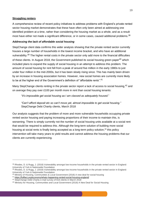#### **Struggling renters**

A comprehensive review of recent policy initiatives to address problems with England's private rented sector housing market demonstrates that these have often only been aimed at addressing one identified problem at a time, rather than considering the housing market as a whole, and as a result most have either not made a significant difference, or in some cases, caused additional problems.<sup>38</sup>

#### *Addressing the lack of affordable social housing*

StepChange client data confirms this wider analysis showing that the private rented sector currently houses a large number of households in the lowest income bracket, and who have an additional vulnerability.<sup>39</sup> The higher rental costs in the private sector only add more to the financial difficulties of these clients. In August 2018, the Government published its social housing green paper<sup>40</sup> which included plans to expand the supply of social housing in an attempt to address this problem. The amount of social housing for rent fell from a peak of around five million in the early 1980s to just under four million in the mid-2000s, but it has been slowly rising since. This has mainly been driven by an increase in housing association homes. However, new social homes are currently more likely to be at the higher end of the Government's definition of "affordable rents".<sup>41</sup>

Many StepChange clients renting in the private sector report a lack of access to social housing, <sup>42</sup> and on average they pay over £100 per month more in rent than social housing tenants:

"*It's impossible get social housing as I am classed as adequately housed*."

*"Can't afford deposit etc so can't move yet, almost impossible to get social housing."* StepChange Debt Charity clients, March 2018

Our analysis suggests that the problem of more and more vulnerable households occupying private rented sector housing and paying increasing proportions of their income to maintain this, is worsening. There is simply currently not the number of social housing units available at a social rent that would be required to address this. Although the long-term solution of building more social housing at social rents is finally being accepted as a long-term policy solution,<sup>43</sup> this policy intervention will take many years to yield results and cannot address the housing problems that our clients are currently experiencing.

<sup>38</sup> Rhodes, D. & Rugg, J. (2018) Vulnerability amongst low-income households in the private rented sector in England: University of York & Nationwide Foundation

<sup>39</sup> Rhodes, D. & Rugg, J. (2018) Vulnerability amongst low-income households in the private rented sector in England: University of York & Nationwide Foundation

<sup>40</sup> Ministry of Housing, Communities & Local Government (2018) A new deal for social housing

<sup>41</sup> <https://fullfact.org/economy/whats-happening-rented-social-housing-england/>

<sup>42</sup> StepChange Debt Charity e-mail survey of 816 clients in March 2018

<sup>43</sup> Ministry for Housing, Communities and Local Government (2018) A New Deal for Social Housing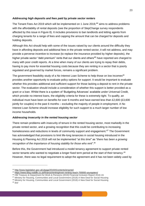#### *Addressing high deposits and fees paid by private sector renters*

The Tenant Fees Act 2019 which will be implemented on 1 June 2019,<sup>44</sup> aims to address problems with the affordability of rental deposits (see the proportion of StepChange survey respondents affected by this issue in Figure 8). It includes provisions to ban landlords and letting agents from charging tenants for a range of fees and capping the amount that can be charged for deposits and holding deposits.

Although this Act should help with some of the issues raised by our clients around the difficulty they have in affording deposits and additional fees in the private rented sector, it will not address, and may provide a perverse incentive to increase (to replace the insurance provided by higher deposits), the higher private sector "debt premium" rents that our clients and others<sup>45</sup> have reported are charged to many with poor credit reports. At a time when many of our clients are trying to repay their debts, having to pay more for essential housing costs because they are renting in a sector that is poorly regulated and governed by market forces, remains a significant problem.

The government feasibility study of a No Interest Loan Scheme to help those on low incomes<sup>46</sup> provides another opportunity to evaluate policy options for support. It would be important to evaluate whether this provides additional and sufficient support for those lacking a deposit to rent in the private sector. The evaluation should include a consideration of whether this support is better provided as a grant or a loan. Whilst there is a system of 'Budgeting Advances' available under Universal Credit, which provide no-interest loans, the eligibility criteria for these is extremely tight. To qualify, an individual must have been on benefits for over 6 months and have earned less than £2,600 (£3,600 jointly for couples) in the past 6 months – excluding the majority of people in employment. A No Interest Loan Scheme should increase eligibility for such support to a much larger number of low income households.

## *Addressing insecurity in the rented housing sector*

There remain problems with insecurity of tenure in the rented housing sector, most markedly in the private rented sector, and a growing recognition that this could be contributing to increasing homelessness and reductions in levels of community support and engagement.<sup>47</sup> The Government has acknowledged that provisions to limit life-long tenancies in social housing introduced in the Housing & Planning Act 2016 will not be implemented "*at this time*" as "*there has been a growing recognition of the importance of housing stability for those who rent*". 48

Before this, the Government had introduced a model tenancy agreement to support private rented sector tenants who wanted to negotiate a longer fixed term period at the start of their tenancy.<sup>49</sup> However, there was no legal requirement to adopt the agreement and it has not been widely used by

48 Ministry for Housing, Communities and Local Government (2018) A New Deal for Social Housing

<sup>49</sup> *ibid*

<sup>44</sup> <http://www.legislation.gov.uk/ukpga/2019/4/contents/enacted>

<sup>45</sup> <https://www.blog.noddle.co.uk/finance/renting/even-renting-reach-700000-youngsters/>

<sup>46</sup> HM Treasury & Department for Work & Pensions (2019) Financial Inclusion Report 2018-19.

<sup>&</sup>lt;sup>47</sup> Ministry for Housing, Communities and Local Government (2018) A New Deal for Social Housing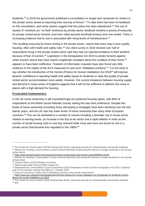landlords.<sup>50</sup> In 2018 the government published a consultation on longer term tenancies for renters in the private sector aimed at improving their security of tenure.<sup>51</sup> To date there has been no feedback on the consultation, and some reports suggest that this policy has been abandoned.<sup>52</sup> The use of section 21 evictions (or "no fault" evictions) by private sector landlords remains a source of insecurity for private rented sector tenants once their initial assured shorthold tenancy term has ended. There is increasing evidence that its use is associated with rising levels of homelessness.<sup>53</sup>

The resulting insecurity for those renting in the private sector, means that many stay in poor quality housing, often with health and safety risks.<sup>54</sup> Our client survey in 2018 showed over half of respondents living in the private rented sector said they had not reported problems to their landlord because of fear of eviction.<sup>55</sup> Legislation in the Deregulation Act 2015 to protect tenants against unfair eviction where they have raised a legitimate complaint about the condition of their home,<sup>56</sup> appears to have been ineffective. Freedom of Information requests have also found very little evidence of the impact of the Act's measures to curb such "retaliatory evictions".<sup>57</sup> It is too early to say whether the introduction of the Homes (Fitness for Human Habitation) Act 2018<sup>58</sup> will improve tenants' confidence in reporting health and safety issues to landlords or raise the quality of private rented sector accommodation more widely. However, the current imbalance between housing supply and demand in many areas of England suggests that it will not be sufficient to address this issue in places with a high demand for housing.

#### **Frustrated homeowners**

In the UK home ownership is still overwhelmingly the preferred housing option, with 86% of respondents to the British Social Attitudes Survey stating this was their preference. Despite this, levels of home ownership (including those still paying a mortgage) have been declining over the last twenty years, and the UK now has lower levels of home ownership than many other European countries.<sup>59</sup> This can be attributed to a number of causes including a dramatic rise in house prices relative to earning levels, an increase in the buy-to-let sector and a rapid inflation in rents as the number of social housing units to rent has reduced while more and more are forced to rent in a private sector that became less regulated in the 1980s.<sup>60</sup>

<sup>&</sup>lt;sup>50</sup> The Centre for Social Justice (2019) Putting Down Roots: improving security for renting families and private landlords <sup>51</sup> Ministry for Housing, Communities & Local Government(2018) Overcoming the barriers to longer tenancies in the private rented sector

<sup>52</sup> <https://www.propertyweek.com/news/government-scraps-three-year-tenancy-plan/5098553.article>

<sup>&</sup>lt;sup>53</sup> Ministry for Housing, Communities & Local Government(2018) Overcoming the barriers to longer tenancies in the private rented sector

<sup>54</sup> Citizens Advice (2015) Renting uncovered

<sup>55</sup> StepChange Debt Charity (2018) Locked Out

<sup>56</sup> Department for Communities & Local Government (2015) Retaliatory eviction and the Deregulation Act 2015: Guidance note on the changes coming into effect on 1 October 2015

<sup>57</sup> House of Commons Library (2017) Retaliatory eviction in the private rented sector

<sup>58</sup> [https://www.gov.uk/government/publications/homes-fitness-for-human-habitation-act-2018/guide-for-landlords-homes](https://www.gov.uk/government/publications/homes-fitness-for-human-habitation-act-2018/guide-for-landlords-homes-fitness-for-human-habitation-act-2018)[fitness-for-human-habitation-act-2018](https://www.gov.uk/government/publications/homes-fitness-for-human-habitation-act-2018/guide-for-landlords-homes-fitness-for-human-habitation-act-2018)

The Centre for Social Justice (2019) Putting Down Roots: improving security for renting families and private landlords <sup>60</sup> *ibid*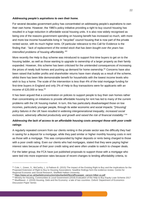#### *Addressing people's aspirations to own their home.*

For several decades government policy has concentrated on addressing people's aspirations to own their own home. However, the 1980's policy initiative providing a right to buy council housing has resulted in a huge reduction in affordable social housing units. It is also now widely recognised as being one of the reasons government spending on housing benefit has increased so much, with more and more low income households living in "recycled" council housing that is now part of the private rented sector, with its much higher rents. Of particular relevance to this Call for Evidence is the finding that : "*lack of replacement of the rented stock that has been bought over the years has intensified problems of housing affordability."<sup>61</sup>*

More recently the Help to Buy scheme was introduced to support first-time buyers to get on to the housing ladder, as well as those wanting to upgrade to ownership of a larger property as their family expanded. However, this scheme has been criticised for the unintended consequences of increasing the prices of newly built homes and pushing up demand for home ownership.<sup>62</sup> Concerns have also been raised that builder profits and shareholder returns have risen sharply as a result of the scheme, whilst there has been little demonstrable benefit for households with the lowest income levels who wish to buy a home. The scale of the intervention is less than 4% of the total mortgage funding for first-time buyers in England and only 2% of Help to Buy transactions were for applicants with an income of £20,000 or less. 63

It has been argued that a concentration on policies to support people to buy their own homes rather than concentrating on initiatives to provide affordable housing for rent has led to many of the current problems with the UK housing market. In turn, this has particularly disadvantaged those on low incomes, particularly younger people, through its wider economic and social impacts: "[*Housing] policy failures in the UK have resulted in widening intergenerational inequality, increased social exclusion, adversely affected productivity and growth and raised the risk of financial instability*." <sup>64</sup>

# *Addressing the lack of access to an affordable housing costs amongst those with poor credit ratings*

A regularly repeated concern from our clients renting in the private sector was the difficulty they had in saving for a deposit for a mortgage, while they paid similar or higher monthly housing costs in rent as those with a mortgage. This was compounded by higher deposits or rents being charged to those with a poor credit rating. Even our clients who had mortgages, stated that they were paying higher interest rates because of their poor credit rating and were often unable to switch to cheaper deals.

For the latter group, the FCA have just published proposals to support those with a mortgage who were tied into more expensive rates because of recent changes to lending affordability criteria, to

<sup>&</sup>lt;sup>61</sup> Cole, I., Green, S., McCarthy, L. & Pattison B. (2015) The Impact of the Existing Right to Buy and the Implications for the Proposed Extension of Right to Buy to Housing Associations: headline findings form the evidence review. Centre for Regional Economic and Social Research, Sheffield Hallam University

<sup>62</sup> [https://www.ucl.ac.uk/bartlett/construction/sites/bartlett/files/affhoupaper\\_carozzi-hilber-yu.pdf](https://www.ucl.ac.uk/bartlett/construction/sites/bartlett/files/affhoupaper_carozzi-hilber-yu.pdf)

<sup>63</sup> Ministry for Housing, Communities & Local Government (2018) Evaluation of the Help to Buy Equity Loan Scheme 2017 64 Muellbauer, J. (2018) Housing, Debt and the Economy: a tale of two countries. Oxford: Department of Economics Discussion Paper Series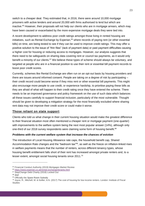switch to a cheaper deal. They estimated that, in 2016, there were around 10,000 mortgage prisoners with active lenders and around 20,000 with firms authorised to lend but which are inactive.<sup>65</sup> However, their proposals will not help our clients who are in mortgage arrears, which may have been caused or exacerbated by the more expensive mortgage deals they were tied into.

A recent development to address poor credit ratings amongst those living in rented housing are initiatives, such as Rental Exchange by Experian,<sup>66</sup> where records of paying rent (or other essential bills) on time, are being tested to see if they can be used to improve credit ratings. This may offer a positive solution to the issue of "thin files" (lack of payment data) or past payment difficulties causing a higher cost for housing or reducing access to mortgages. However, our analysis suggests that there need to be safeguards on sharing data covering rent or council tax payments, as it would only benefit a minority of our clients.<sup>67</sup> We believe these types of scheme should always be voluntary, and targeted at people who are in a financial position to use their rent or essential bill payment records to boost poor credit scores.

Currently, schemes like Rental Exchange are often run on an opt-out basis by housing providers and there are issues around informed consent. People are taking on a degree of risk by participating – their credit record could become worse if they miss rent or other essential bill payments. This might also encourage more people to use credit, or experience hardship, to prioritise paying these bills as they are afraid of what will happen to their credit rating once they have entered the scheme. There needs to be an improved governance and policy framework on the use of such data which balances all these issues carefully to support financial inclusion, particularly of the most vulnerable. Thought should be given to developing a mitigation strategy for the most financially excluded where sharing rent data may not improve their credit score or could make it worse.

#### **Those reliant on state support**

Clients who told us what change in their current housing situation would make the greatest difference to their financial situation most often mentioned a cheaper rent or mortgage payment (one-quarter) with improvements to the welfare system being the next most popular answer (14%), although only one-third of our 2018 survey respondents were claiming some form of housing benefit.<sup>68</sup>

#### *Problems with the current welfare system that increase the chances of eviction*

The introduction of Local Housing Allowance rate caps, the household benefit cap, Shared Accommodation Rate changes and the "bedroom tax"<sup>69</sup>, as well as the freeze on inflation-linked rises in welfare payments means that the number of renters, across different tenancy types, whose housing benefit entitlement falls short of their rent has increased amongst private renters and, to a lesser extent, amongst social housing tenants since 2011.<sup>70</sup>

<sup>&</sup>lt;sup>65</sup> Financial Conduct Authority (2019) Mortgages Market Review

<sup>66</sup> <https://www.experian.co.uk/rental-exchange/tenants.html>

<sup>&</sup>lt;sup>67</sup> StepChange Debt Charity (2018) Locked Out

<sup>68</sup> *ibid*

<sup>&</sup>lt;sup>69</sup> Officially the Spare Room Subsidy

 $^{70}$  Joyce, R., Mitchell, M. & Keiller, A.N. (2017) The cost of housing for low income renters. London: Institute of Fiscal **Studies**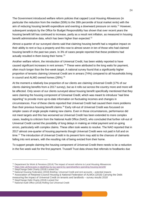The Government introduced welfare reform policies that capped Local Housing Allowances (in particular the reduction from the median (50th) to the 30th percentile of local market rents) with the aim of reducing housing benefit expenditure and exerting a downward pressure on rents.<sup>71</sup> However, subsequent analysis by the Office for Budget Responsibility has shown that over recent years the housing benefit bill has continued to increase, partly as a result rent inflation, as measured in housing benefit administrative data, which has been higher than expected.<sup>72</sup>

Almost a quarter of our surveyed clients said that claiming housing benefit had a negative impact on their ability to rent or buy a property and this rose to almost seven in ten of those who had claimed housing benefit in the past two years. In 3% of cases people reported that these problems had actually resulted in them losing their home. $73$ 

Another welfare reform, the introduction of Universal Credit, has been widely reported to have caused significant increases in rent arrears.<sup>74</sup> These were attributed to the long waits for payment, often much longer than the five-week target. A national survey found that a significantly higher proportion of tenants claiming Universal Credit are in arrears (74%) compared to all households living in council and ALMO owned homes (26%).<sup>75</sup>

At the moment a relatively low proportion of our clients are claiming Universal Credit (17% of our clients claiming benefits from a 2017 survey), but as it rolls out across the country more and more will be affected. Only seven of our clients surveyed about housing benefit specifically mentioned that they were claiming the housing component of Universal Credit, which was meant to introduce "real time reporting" to provide more up-to-date information on fluctuating incomes and changes in circumstances. Four of these clients reported that Universal Credit had caused them more problems than their previous housing benefit claims.<sup>76</sup> Early roll-out of Universal Credit was focussed on simpler cases of single people making new claims. Even in those circumstances, performance did not meet targets and this has worsened as Universal Credit has been extended to more complex cases, leading to criticism from the National Audit Office (NAO), who concluded that further roll-out of Universal Credit carried the possibility of long delays in making an initial payment and on-going errors, particularly with complex claims. These often took weeks to resolve. The NAO reported that in 2017 almost one-quarter of housing payments though Universal Credit were not paid in full and on time.<sup>77</sup> The introduction of Universal Credit in its present form may add to the chances of claimants falling into rent arrears, with the resulting risk of being evicted from their home.

To support people claiming the housing component of Universal Credit there needs to be a reduction in the five week wait for the first payment. Trussell Trust data shows that referrals to foodbanks due

<sup>&</sup>lt;sup>71</sup> Department for Work & Pensions (2014) The impact of recent reforms to Local Housing Allowances

<sup>72</sup> <https://obr.uk/forecasts-in-depth/tax-by-tax-spend-by-spend/welfare-spending-housing-benefit/>

<sup>&</sup>lt;sup>73</sup> StepChange Debt Charity (2018) Locked Out

<sup>74</sup> National Housing Federation (2018) Briefing: Universal Credit and rent accounts – potential impacts

<sup>75</sup> Association of Retained Council Housing & National Federation of ALMOs (2018) Carrying the Debt:

measuring the impact of Universal Credit on tenants and landlords – survey results 2018 <sup>76</sup> StepChange Debt Charity (2018) Locked Out

<sup>77</sup> National Audit Office (2018) Rolling Out Universal Credit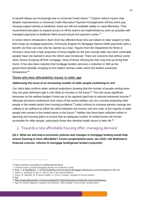to benefit delays are increasingly due to Universal Credit claims.<sup>78</sup> Citizens Advice reports that despite improvements to Universal Credit Alternative Payment Arrangements (APAs) which pay housing support directly to landlords, these are still not available widely or used effectively. They recommend that plans to expand access to APAs need to be implemented as soon as possible with managed payments to landlords fitted around actual rent payment cycles. 79

A recent reform introduced in April 2018 has affected those who are reliant on state support to help them keep up mortgage payments. Previously Support for Mortgage Interest (SMI) payments were a benefit, but they can now only be claimed as a loan. Figures from the Department for Work & Pensions show that a high proportion of those eligible for the loan (mostly older and more vulnerable people) have not claimed it since the reform was introduced. There are concerns that without some other means of paying off their mortgage, many of those refusing the loan may end up losing their home. It has also been reported that mortgage lenders perceive a reduction in SMI as the government partially reneging on the implicit contract under which the lenders exercised forbearance.<sup>80</sup>

#### **Those who face affordability issues in older age**

#### *Addressing the issue of an increasing number of older people continuing to rent*

Our client data confirms wider national projections showing that the number of people renting when they are past retirement age is only likely to increase in the future. $81$  This will cause significant pressures on the welfare budget if rents are to be regularly paid from a reduced retirement income.<sup>82</sup> Although pensioner protections from many of the recent welfare cuts are currently protecting older people in the rented sector from housing problems,<sup>83</sup> policy reforms to increase pension savings are unlikely to be sufficient to offset the deficit between the income and rent costs of the majority of older people who remain in the rented sector in the future. <sup>84</sup> Neither has there been sufficient reform in planning and housing policy to ensure that an adequate number of rented homes will remain accessible for older people, particularly those who develop health issues in later life.<sup>85</sup>

# 3. Towards a new affordable housing offer: managing demand

**Q3.1: What tax and macro-economic policies and changes in mortgage lending would help ensure housing is more affordable? Covers property/land taxes, tax relief, role BoE/macro financial controls, reforms to mortgage lending/new lenders (councils)** 

<sup>78</sup> https://action.trusselltrust.org/5weekstoolong

<sup>79</sup> Citizens Advice (2019) Managing Money on Universal Credit

<sup>80</sup> Aron, J. & Muellbauer, J. (2016) Modelling and forecasting Mortgage Delinquency and Foreclosure in the UK

<sup>81</sup> Adler, D. & Wilson Craw, D. (2017) Life in the Rental Market

<sup>82</sup> Joyce, R. Mitchell, M. & Norris Keillor, A. (2017) London: Institute of Fiscal Studies

<sup>83</sup> *ibid*

<sup>84</sup> <https://www.theguardian.com/money/blog/2017/dec/02/pensions-timebomb-rents-homeowners>

<sup>&</sup>lt;sup>85</sup> Age UK (2016) Ageing in squalor and distress: older people in the private rented sector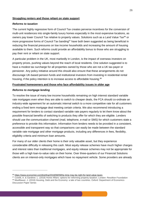#### **Struggling renters and those reliant on state support**

#### *Reforms to taxation*

The current highly regressive form of Council Tax creates perverse incentives for the conversion of multi-unit residences into single-family luxury homes especially in the most expensive locations, as owners pay lower Council Tax relative to property values. Solutions such as a Land Value Tax<sup>86</sup> or more progressive forms of Council Tax banding<sup>87</sup> have both been suggested as being beneficial in reducing the financial pressures on low income households and increasing the amount of housing available to them. Such reforms could provide an affordability bonus to those who are struggling to pay their rent or reliant on state support.

A particular problem in the UK, most markedly in London, is the impact of overseas investors on property prices, pushing values beyond the reach of local residents. One solution suggested is to have a modest tax surcharge for all properties owned by those who are not a UK tax-payer or pensioner. Any policy initiative around this should also ensure that these arrangements do not discourage UK-based pension funds and institutional investors from investing in residential rental housing, if the policy intention is to increase access to affordable housing.<sup>88</sup>

#### **Frustrated homeowners and those who face affordability issues in older age**

#### *Reforms to mortgage lending*

 $\overline{a}$ 

To resolve the issue of many low income households remaining on high interest standard variable rate mortgages even when they are able to switch to cheaper deals, the FCA should co-ordinate an industry-wide agreement for an automatic internal switch to a more competitive rate for all customers ending a fixed term mortgage deal meeting certain criteria. We also recommend introducing a requirement for lenders to contact standard variable rate payers regularly to let them know about the possible financial benefits of switching to products they offer for which they are eligible. Lenders should use the communication channel (mail, telephone, e-mail or SMS) for which customers state a preference to provide this information. Information from lenders needs to be provided in a consistent, accessible and transparent way so that comparisons can easily be made between the standard variable rate mortgage and other mortgage products, including any differences in fees, flexibility, eligibility criteria and minimum loan amounts.

For many of our older clients their home is their only valuable asset, but they experience considerable difficulty in releasing this cash. Most equity release schemes have much higher charges and interest rates than traditional mortgages, and equity release schemes may not be appropriate for those with a high loan-to-value ratio on their home. Over three-quarters of our Financial Solutions clients are on interest-only mortgages which have no repayment vehicle. Some providers are already

<sup>86</sup> <https://www.economist.com/briefing/2018/08/09/the-time-may-be-right-for-land-value-taxes>

<sup>87</sup> Coreltt, A. & Gardiner, L. (2018) Home Affairs: options for reforming property taxation. London: Resoltion Foundation 88 Muellbauer, J. (2018) Housing, Debt and the Economy: a tale of two countries. Oxford: Department of Economics Discussion Paper Series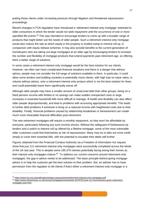putting these clients under increasing pressure through litigation and threatened repossession proceedings.

Recent changes in FCA regulation have introduced a 'retirement interest-only mortgage' restricted to older consumers in which the lender would not seek repayment until the occurrence of one or more specified life events.<sup>89</sup> This was intended to encourage lenders to come up with a broader range of products that might better suit the needs of older people. Such a retirement interest-only mortgage would also reduce the rate at which equity in the property is eroded owing to interest roll up, in comparison with equity release schemes. It may also provide benefits to the current generation of homebuyers who are taking out large mortgages at an older age by encouraging lenders to increase the number and flexibility of mortgage products that extend payments past retirement age, so offering them a better range of solutions.

In some cases a retirement interest-only mortgage would be the best solution for our clients. However, we often see more complicated financial situations and there is a danger that without advice, people may not consider the full range of solutions available to them. In particular, it could allow some lenders and building societies to potentially move clients, with high loan-to-value ratios, in volume without advice, onto a retirement interest-only product which is not the best solution for them, and could potentially leave them significantly worse off.

Although older people may have a smaller amount of unsecured debt than other groups, being on a fixed pension income with limited or no savings can make sudden unexpected costs or large increases in essential household bills more difficult to manage. Ill health and disability can also affect older people disproportionally, and lead to problems with accessing appropriate benefits. This leads to further debt problems if someone is living on a reduced income with heightened costs due to their disability. Finally, financial problems caused by relationship breakdown or bereavement can create much more intractable financial difficulties post-retirement.

The new retirement mortgages will require a monthly repayment, so they won't be affordable by everyone, particularly following any such income shocks. Without the safeguard of forbearance by lenders and a switch to interest roll up offered by a lifetime mortgage, some of the most vulnerable older customers could find themselves at risk of repossession. Many may try to take out more credit simply to cover their essential bills, with the potential to escalate their debts still further.

Figures obtained from the Financial Conduct Authority via a Freedom of Information Act request show that just 112 retirement interest-only mortgages were successfully completed across the whole of the UK last year. This is despite some 185,370 retirees potentially facing losing their homes as their interest-only mortgages mature.<sup>90</sup> To address our current concerns around retirement-only mortgages, the gap in advice needs to be addressed. The basic principle behind giving mortgage advice is to help the customer get the best solution to their problem. But, an adviser has to have permission from the regulator to tell clients if that's either a retirement interest-only mortgage or a

<sup>89</sup> <https://www.fca.org.uk/publication/impact-assessments/retirement-interest-only-mortgages.pdf>

<sup>90</sup> [https://www.thisismoney.co.uk/money/mortgageshome/article-6479701/Just-112-homeowners-given-retirement](https://www.thisismoney.co.uk/money/mortgageshome/article-6479701/Just-112-homeowners-given-retirement-mortgage-year.html)[mortgage-year.html](https://www.thisismoney.co.uk/money/mortgageshome/article-6479701/Just-112-homeowners-given-retirement-mortgage-year.html)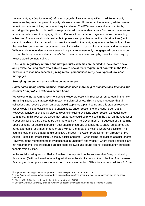lifetime mortgage (equity release). Most mortgage brokers are not qualified to advise on equity release so they refer people on to equity release advisers. However, at the moment, advisers earn more in commission if they recommend equity release. The FCA needs to address this bias by ensuring older people in this position are provided with independent advice from someone who can advise on both types of mortgage, with no difference in commission payments for recommending either one. The advice should consider both present and possible future financial situations (i.e. in case of the death of a partner who is currently named on the mortgage) to ensure they fully explore the possible scenarios and recommend the solution which is best suited to current and future needs. Without such independent advice it seems likely that retirement-only mortgages will continue to be ignored by those who would most benefit from them or may be taken up by those for whom equity release would be more suitable.

# **Q3.2: What regulatory reforms and new products/schemes are needed to make both social and private housing more affordable? Covers social rents regime, rent controls in the PRS, new rents to incomes schemes ('living rents', personalised rent), new types of low-cost mortgages**

#### **Struggling renters and those reliant on state support**

#### *Households facing severe financial difficulties need more help to stabilise their finances and recover from problem debt in a secure home*

We welcome the Government's intention to include protections in respect of rent arrears in the new Breathing Space and statutory debt repayment plan schemes. This includes proposals that all collections and recovery action on debts would stop once a plan begins and this stop on recovery action would include evictions due to unpaid debts under Section 8 of the Housing Act 1988. However, consideration should also be given to including evictions under Section 21 Housing Act 1988 rules. In this respect we agree that rent arrears could be prioritised in the plan on the request of a debt advisor enabling these to be paid more quickly. The Government's introduction of a Breathing Space scheme for people in problem debt should encourage all landlords to show forbearance and agree affordable repayment of rent arrears without the threat of evictions wherever possible. The courts should ensure that all landlords follow the Debt Pre-Action Protocol for rent arrears<sup>91</sup> or Pre-Action Protocol for Possession Claims by social landlords<sup>92</sup>, when taking legal action against tenants. However, at the moment there is evidence that in England<sup>93</sup> and Wales<sup>94</sup>, where these Protocols are not requirements, the procedures are not being followed and courts are not subsequently protecting tenants from eviction.

In the social housing sector, Shelter Shetland has reported on the success that Glasgow Housing Association (GHA) achieved in reducing evictions while also increasing the collection of rent arrears. By changing its emphasis from legal action to early intervention, GHA's total arrears fell from £10.1m

<sup>91</sup> <https://www.justice.gov.uk/courts/procedure-rules/civil/pdf/protocols/debt-pap.pdf>

<sup>92</sup> [https://www.justice.gov.uk/courts/procedure-rules/civil/protocol/pre-action-protocol-for-possession-claims-by-social](https://www.justice.gov.uk/courts/procedure-rules/civil/protocol/pre-action-protocol-for-possession-claims-by-social-landlords)**[landlords](https://www.justice.gov.uk/courts/procedure-rules/civil/protocol/pre-action-protocol-for-possession-claims-by-social-landlords)** 

Shelter (2018) Shelter evidence to the statutory review of LASPO

<sup>94</sup> Shelter Cymru (2018) Policy briefing: Avoiding unnecessary evictions among social tenants in Wales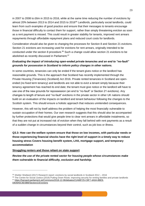in 2007 to 2008 to £6m in 2015 to 2016, while at the same time reducing the number of evictions by almost 20% between 2013 to 2014 and 2015 to 2016<sup>95</sup> Landlords, particularly social landlords, could learn from such examples of good practice and ensure that their messages to tenants encourage those in financial difficulty to contact them for support, rather than simply threatening eviction as soon as a rent payment is missed. This could result in greater stability for tenants, improved rent arrears repayments through affordable repayment plans and reduced court costs for landlords.

Consideration should also be given to changing the processes for Section 8 and Section 21 evictions. Section 21 evictions are increasing used for evictions for rent arrears, originally intended to be conducted under the section 8 procedure.<sup>96</sup> Such a change could allow section 21 evictions to be abolished as recently discussed in Parliament.<sup>97</sup>

# *Evaluating the impact of introducing open-ended private tenancies and an end to "no-fault" grounds for possession in Scotland to inform policy changes in other nations.*

In some countries, tenancies can only be ended if the tenant gives notice or the landlord has reasonable grounds. This is the approach that Scotland has recently implemented through the Private Housing (Tenancies) (Scotland) Act 2016. Private rented tenancies in Scotland are openended (no fixed term tenancy) and landlords are not able to evict a tenant simply because their tenancy agreement has reached its end date; the tenant must give notice or the landlord will have to use one of the new grounds for repossession (an end to "no-fault" or Section 21 evictions). Any changes to length of tenure and "no-fault" evictions in the private sector in other UK nations should build on an evaluation of the impacts on landlord and tenant behaviour following the changes to the Scottish system. This should ensure a holistic approach that reduces unintended consequences.

However, this will not by itself address the problem of helping the most financially vulnerable to sustain occupation of their homes. Our own research suggests that this should also be accompanied by further protections that would give people time to clear rent arrears in affordable instalments, so that they are not put at increased risk of eviction when they fall behind with rent payments as a result of a sudden change in circumstances beyond their control, such as job loss or illness.

# **Q3.3: How can the welfare system ensure that those on low incomes, with particular needs or those experiencing financial shocks have the right level of support in a timely way to reduce housing stress Covers housing benefit system, LHA, mortgage support, and temporary accommodation**

#### **Struggling renters and those reliant on state support**

*Review the use of the private rented sector for housing people whose circumstances make them vulnerable to financial difficulty, exclusion and hardship*.

<sup>95</sup> Shelter Shetland (2017) Research report: evictions by social landlords in Scotland 2012 – 2016

<sup>96</sup> The Centre for Social Justice (2019) Putting Down Roots: improving security for renting families and private landlords <sup>97</sup> [https://hansard.parliament.uk/Commons/2018-12-06/debates/21A6B725-C6F7-4A0A-8BE9-](https://hansard.parliament.uk/Commons/2018-12-06/debates/21A6B725-C6F7-4A0A-8BE9-D839A5C8D3BB/Section21Evictions)

[D839A5C8D3BB/Section21Evictions](https://hansard.parliament.uk/Commons/2018-12-06/debates/21A6B725-C6F7-4A0A-8BE9-D839A5C8D3BB/Section21Evictions)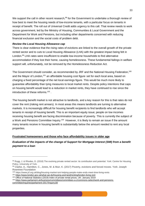We support the call in other recent research,<sup>98</sup> for the Government to undertake a thorough review of how best to meet the housing needs of low-income tenants, with a particular focus on tenants in receipt of benefit. The roll out of Universal Credit adds urgency to this call. That review needs to work across government, led by the Ministry of Housing, Communities & Local Government and the Department for Work and Pensions, but including other departments concerned with reducing financial exclusion and the social costs of problem debt.

#### *Review the Local Housing Allowance cap*

There is clear evidence that the rising rates of evictions are linked to the overall growth of the private rented sector and to cuts to Local Housing Allowance (LHA) with the greatest impact being felt in London.<sup>99</sup> LHA rates were insufficient to enable low-income households to find alternative accommodation if they lost their home, causing homelessness. These fundamental failings in welfare support will, unfortunately, not be removed by the Homelessness Reduction Act.

The Government should consider, as recommended by JRF and the National Housing Federation,<sup>100</sup> and the Mayor of London,<sup>101</sup> an affordable housing cost figure set for each local area, based on charging a fixed percentage of the net local earnings figure. This would be much more likely to guarantee affordability than tying measures to local market rents. Despite policy intentions that caps on housing benefit would lead to a reduction in market rents, they have continued to rise since the introduction of these reforms.<sup>102</sup>.

The housing benefit market is not attractive to landlords, and a key reason for this is that rates do not cover the rent (risking rent arrears). In most areas this means landlords are turning to alternative markets. It is increasingly difficult for housing benefit recipients to find landlords who will accept tenants in receipt of housing benefit. This is an important equity issue; people on low incomes receiving housing benefit are facing discrimination because of poverty. This is currently the subject of a Work and Pensions Committee Inquiry.<sup>103</sup> However, it is likely to remain an issue if the amount many tenants receive in housing benefit is substantially below the amount needed to rent any local properties.

#### **Frustrated homeowners and those who face affordability issues in older age**

# *Evaluation of the impacts of the change of Support for Mortgage Interest (SMI) from a benefit payment to a loan*

<sup>98</sup> Rugg, J. & Rhodes, D. (2018) The evolving private rented sector: its contribution and potential. York: Centre for Housing Policy, University of York.

<sup>99</sup> Clarke, A., Hamilton, C., Jones, M. & Muir, K. (2017) Poverty, evictions and forced moves. York: Joseph Rowntree Foundation

<sup>100</sup> https://www.jrf.org.uk/blog/housing-market-isnt-helping-people-make-ends-meet-time-living-rents

<sup>101</sup> <https://www.london.gov.uk/what-we-do/housing-and-land/renting/london-living-rent>

<sup>&</sup>lt;sup>102</sup> Office of National Statistics (2019) Index of private rental prices, UK: January 2019

<sup>103</sup> [https://www.parliament.uk/business/committees/committees-a-z/commons-select/work-and-pensions](https://www.parliament.uk/business/committees/committees-a-z/commons-select/work-and-pensions-committee/inquiries/parliament-2017/inquiry18/)[committee/inquiries/parliament-2017/inquiry18/](https://www.parliament.uk/business/committees/committees-a-z/commons-select/work-and-pensions-committee/inquiries/parliament-2017/inquiry18/)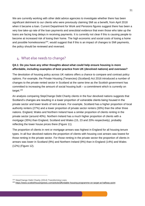We are currently working with other debt advice agencies to investigate whether there has been significant detriment to our clients who were previously claiming SMI as a benefit, from April 2018 when it became a loan. Current Department for Work and Pensions figures suggest there has been a very low take-up rate of the loan payments and anecdotal evidence that even those who take up the loans are facing long delays in receiving payments. It is currently not clear if this is causing people to become at increased risk of losing their home. The high economic and social costs of losing a home and possible homelessness<sup>104</sup>, would suggest that if this is an impact of changes to SMI payments, the policy should be reviewed and reversed.

# 4. What else needs to change?

## **Q4.1: Do you have any other thoughts about what could help ensure housing is more affordable, including examples of best practice from UK (devolved nations) and overseas?**

The devolution of housing policy across UK nations offers a chance to compare and contrast policy options. For example, the Private Housing (Tenancies) (Scotland) Act 2016 introduced a number of changes to the private rented sector in Scotland at the same time as the Scottish government has committed to increasing the amount of social housing built – a commitment which is currently on target.<sup>105</sup>

An analysis comparing StepChange Debt Charity clients in the four devolved nations suggests that Scotland's changes are resulting in a lower proportion of vulnerable clients being housed in the private sector and lower levels of rent arrears. For example, Scotland has a higher proportion of local authority renters (27%) and a lower proportion of private sector renters (30%) than the other three nations. England, Wales and Northern Ireland have a similar proportion of clients renting in the private sector (around 40%). Northern Ireland has a much higher proportion of clients with a mortgage (35%) than England, Scotland and Wales (15, 23 and 20% respectively), probably reflecting the lower house prices there (Figure 11).

The proportion of clients in rent or mortgage arrears was highest in England for all housing tenure types. In all four devolved nations the proportion of clients with housing cost arrears was lowest for those renting in the private sector. For those renting in the private sector the proportion of clients in arrears was lower in Scotland (9%) and Northern Ireland (9%) than in England (14%) and Wales (12%) (Figure 12).

<sup>104</sup> StepChange Debt Charity (2014) Transforming Lives

<sup>105</sup> <https://www.scottishhousingnews.com/article/affordable-housing-programme-on-target-at-halfway-point>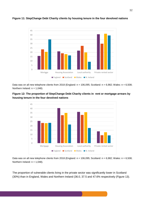

#### **Figure 11: StepChange Debt Charity clients by housing tenure in the four devolved nations**

Data was on all new telephone clients from 2018 (England:  $n = 106,095$ ; Scotland:  $n = 6,982$ ; Wales:  $n = 6,508$ ; Northern Ireland:  $n = 1,048$ ).

## **Figure 12: The proportion of StepChange Debt Charity clients in rent or mortgage arrears by housing tenure in the four devolved nations**



Data was on all new telephone clients from 2018 (England:  $n = 106,095$ ; Scotland:  $n = 6,982$ ; Wales:  $n = 6,508$ ; Northern Ireland:  $n = 1,048$ ).

The proportion of vulnerable clients living in the private sector was significantly lower in Scotland (30%) than in England, Wales and Northern Ireland (36.0, 37.5 and 47.6% respectively (Figure 13).